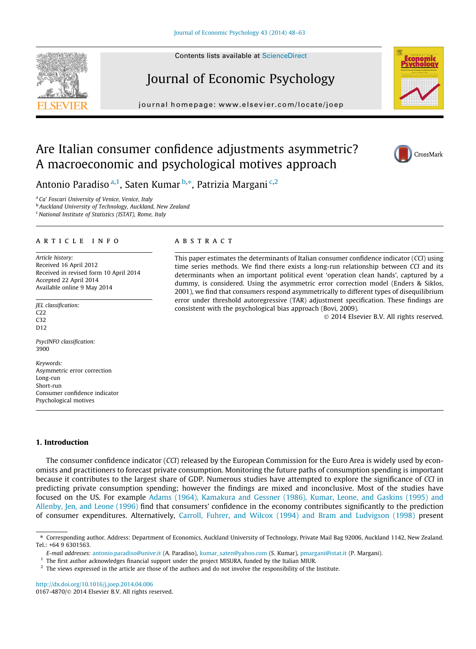Contents lists available at [ScienceDirect](http://www.sciencedirect.com/science/journal/01674870)

# Journal of Economic Psychology

journal homepage: [www.elsevier.com/locate/joep](http://www.elsevier.com/locate/joep)

This paper estimates the determinants of Italian consumer confidence indicator (CCI) using time series methods. We find there exists a long-run relationship between CCI and its determinants when an important political event 'operation clean hands', captured by a dummy, is considered. Using the asymmetric error correction model (Enders & Siklos, 2001), we find that consumers respond asymmetrically to different types of disequilibrium error under threshold autoregressive (TAR) adjustment specification. These findings are

consistent with the psychological bias approach (Bovi, 2009).

## Are Italian consumer confidence adjustments asymmetric? A macroeconomic and psychological motives approach

**ABSTRACT** 

Antonio Paradiso <sup>a,1</sup>, Saten Kumar <sup>b,\*</sup>, Patrizia Margani <sup>c,2</sup>

<sup>a</sup> Ca' Foscari University of Venice, Venice, Italy

**b** Auckland University of Technology, Auckland, New Zealand

 $c$  National Institute of Statistics (ISTAT), Rome, Italy

### article info

Article history: Received 16 April 2012 Received in revised form 10 April 2014 Accepted 22 April 2014 Available online 9 May 2014

JEL classification: C22 C32 D<sub>12</sub>

PsycINFO classification: 3900

Keywords: Asymmetric error correction Long-run Short-run Consumer confidence indicator Psychological motives

#### 1. Introduction

The consumer confidence indicator (CCI) released by the European Commission for the Euro Area is widely used by economists and practitioners to forecast private consumption. Monitoring the future paths of consumption spending is important because it contributes to the largest share of GDP. Numerous studies have attempted to explore the significance of CCI in predicting private consumption spending; however the findings are mixed and inconclusive. Most of the studies have focused on the US. For example [Adams \(1964\), Kamakura and Gessner \(1986\), Kumar, Leone, and Gaskins \(1995\) and](#page-14-0) [Allenby, Jen, and Leone \(1996\)](#page-14-0) find that consumers' confidence in the economy contributes significantly to the prediction of consumer expenditures. Alternatively, [Carroll, Fuhrer, and Wilcox \(1994\) and Bram and Ludvigson \(1998\)](#page-14-0) present

<http://dx.doi.org/10.1016/j.joep.2014.04.006> 0167-4870/© 2014 Elsevier B.V. All rights reserved.



© 2014 Elsevier B.V. All rights reserved.



<sup>⇑</sup> Corresponding author. Address: Department of Economics, Auckland University of Technology, Private Mail Bag 92006, Auckland 1142, New Zealand. Tel.: +64 9 6301563.

E-mail addresses: [antonio.paradiso@unive.it](mailto:antonio.paradiso@unive.it) (A. Paradiso), [kumar\\_saten@yahoo.com](mailto:kumar_saten@yahoo.com) (S. Kumar), [pmargani@istat.it](mailto:pmargani@istat.it) (P. Margani).

 $1$  The first author acknowledges financial support under the project MISURA, funded by the Italian MIUR.

<sup>&</sup>lt;sup>2</sup> The views expressed in the article are those of the authors and do not involve the responsibility of the Institute.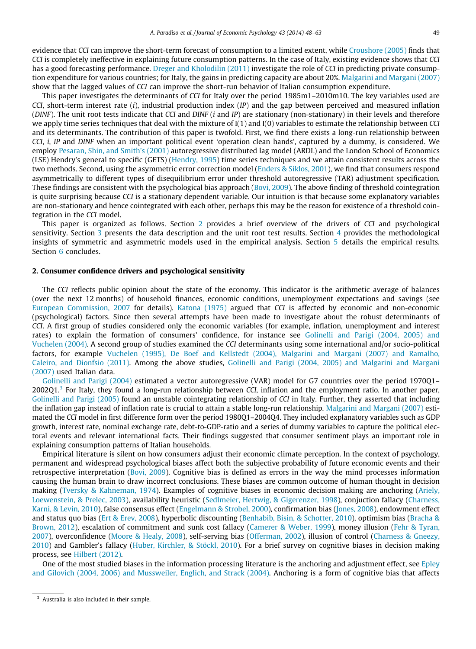evidence that CCI can improve the short-term forecast of consumption to a limited extent, while [Croushore \(2005\)](#page-14-0) finds that CCI is completely ineffective in explaining future consumption patterns. In the case of Italy, existing evidence shows that CCI has a good forecasting performance. [Dreger and Kholodilin \(2011\)](#page-14-0) investigate the role of CCI in predicting private consumption expenditure for various countries; for Italy, the gains in predicting capacity are about 20%. [Malgarini and Margani \(2007\)](#page-15-0) show that the lagged values of CCI can improve the short-run behavior of Italian consumption expenditure.

This paper investigates the determinants of CCI for Italy over the period 1985m1–2010m10. The key variables used are CCI, short-term interest rate  $(i)$ , industrial production index  $(IP)$  and the gap between perceived and measured inflation (DINF). The unit root tests indicate that CCI and DINF (i and IP) are stationary (non-stationary) in their levels and therefore we apply time series techniques that deal with the mixture of  $I(1)$  and  $I(0)$  variables to estimate the relationship between CCI and its determinants. The contribution of this paper is twofold. First, we find there exists a long-run relationship between CCI, i, IP and DINF when an important political event 'operation clean hands', captured by a dummy, is considered. We employ [Pesaran, Shin, and Smith's \(2001\)](#page-15-0) autoregressive distributed lag model (ARDL) and the London School of Economics (LSE) Hendry's general to specific (GETS) [\(Hendry, 1995\)](#page-15-0) time series techniques and we attain consistent results across the two methods. Second, using the asymmetric error correction model ([Enders & Siklos, 2001](#page-14-0)), we find that consumers respond asymmetrically to different types of disequilibrium error under threshold autoregressive (TAR) adjustment specification. These findings are consistent with the psychological bias approach ([Bovi, 2009\)](#page-14-0). The above finding of threshold cointegration is quite surprising because CCI is a stationary dependent variable. Our intuition is that because some explanatory variables are non-stationary and hence cointegrated with each other, perhaps this may be the reason for existence of a threshold cointegration in the CCI model.

This paper is organized as follows. Section 2 provides a brief overview of the drivers of CCI and psychological sensitivity. Section [3](#page-2-0) presents the data description and the unit root test results. Section [4](#page-4-0) provides the methodological insights of symmetric and asymmetric models used in the empirical analysis. Section [5](#page-7-0) details the empirical results. Section [6](#page-11-0) concludes.

#### 2. Consumer confidence drivers and psychological sensitivity

The CCI reflects public opinion about the state of the economy. This indicator is the arithmetic average of balances (over the next 12 months) of household finances, economic conditions, unemployment expectations and savings (see [European Commission, 2007](#page-14-0) for details). [Katona \(1975\)](#page-15-0) argued that CCI is affected by economic and non-economic (psychological) factors. Since then several attempts have been made to investigate about the robust determinants of CCI. A first group of studies considered only the economic variables (for example, inflation, unemployment and interest rates) to explain the formation of consumers' confidence, for instance see [Golinelli and Parigi \(2004, 2005\) and](#page-15-0) [Vuchelen \(2004\)](#page-15-0). A second group of studies examined the CCI determinants using some international and/or socio-political factors, for example [Vuchelen \(1995\), De Boef and Kellstedt \(2004\), Malgarini and Margani \(2007\) and Ramalho,](#page-15-0) [Caleiro, and Dionfsio \(2011\).](#page-15-0) Among the above studies, [Golinelli and Parigi \(2004, 2005\) and Malgarini and Margani](#page-15-0) [\(2007\)](#page-15-0) used Italian data.

[Golinelli and Parigi \(2004\)](#page-15-0) estimated a vector autoregressive (VAR) model for G7 countries over the period 1970Q1–  $2002Q1<sup>3</sup>$  For Italy, they found a long-run relationship between CCI, inflation and the employment ratio. In another paper, [Golinelli and Parigi \(2005\)](#page-15-0) found an unstable cointegrating relationship of CCI in Italy. Further, they asserted that including the inflation gap instead of inflation rate is crucial to attain a stable long-run relationship. [Malgarini and Margani \(2007\)](#page-15-0) estimated the CCI model in first difference form over the period 1980Q1–2004Q4. They included explanatory variables such as GDP growth, interest rate, nominal exchange rate, debt-to-GDP-ratio and a series of dummy variables to capture the political electoral events and relevant international facts. Their findings suggested that consumer sentiment plays an important role in explaining consumption patterns of Italian households.

Empirical literature is silent on how consumers adjust their economic climate perception. In the context of psychology, permanent and widespread psychological biases affect both the subjective probability of future economic events and their retrospective interpretation [\(Bovi, 2009\)](#page-14-0). Cognitive bias is defined as errors in the way the mind processes information causing the human brain to draw incorrect conclusions. These biases are common outcome of human thought in decision making ([Tversky & Kahneman, 1974](#page-15-0)). Examples of cognitive biases in economic decision making are anchoring ([Ariely,](#page-14-0) [Loewenstein, & Prelec, 2003\)](#page-14-0), availability heuristic [\(Sedlmeier, Hertwig, & Gigerenzer, 1998](#page-15-0)), conjuction fallacy [\(Charness,](#page-14-0) [Karni, & Levin, 2010\)](#page-14-0), false consensus effect [\(Engelmann & Strobel, 2000\)](#page-14-0), confirmation bias ([Jones, 2008\)](#page-15-0), endowment effect and status quo bias ([Ert & Erev, 2008\)](#page-14-0), hyperbolic discounting [\(Benhabib, Bisin, & Schotter, 2010\)](#page-14-0), optimism bias [\(Bracha &](#page-14-0) [Brown, 2012\)](#page-14-0), escalation of commitment and sunk cost fallacy ([Camerer & Weber, 1999](#page-14-0)), money illusion ([Fehr & Tyran,](#page-14-0) [2007\)](#page-14-0), overconfidence [\(Moore & Healy, 2008](#page-15-0)), self-serving bias [\(Offerman, 2002\)](#page-15-0), illusion of control ([Charness & Gneezy,](#page-14-0) [2010\)](#page-14-0) and Gambler's fallacy ([Huber, Kirchler, & Stöckl, 2010\)](#page-15-0). For a brief survey on cognitive biases in decision making process, see [Hilbert \(2012\).](#page-15-0)

One of the most studied biases in the information processing literature is the anchoring and adjustment effect, see [Epley](#page-14-0) [and Gilovich \(2004, 2006\) and Mussweiler, Englich, and Strack \(2004\).](#page-14-0) Anchoring is a form of cognitive bias that affects

<sup>&</sup>lt;sup>3</sup> Australia is also included in their sample.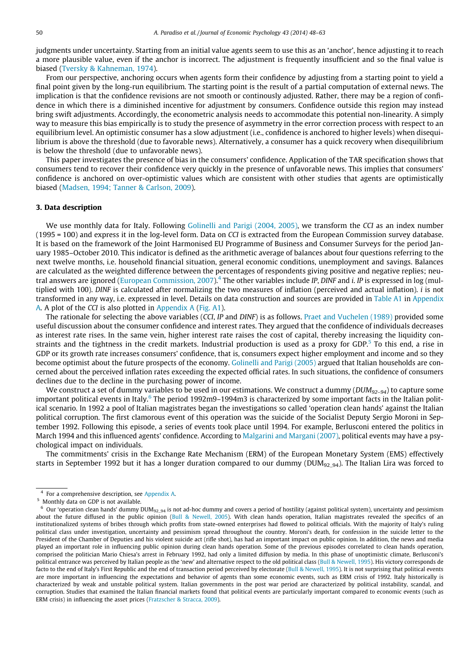<span id="page-2-0"></span>judgments under uncertainty. Starting from an initial value agents seem to use this as an 'anchor', hence adjusting it to reach a more plausible value, even if the anchor is incorrect. The adjustment is frequently insufficient and so the final value is biased [\(Tversky & Kahneman, 1974](#page-15-0)).

From our perspective, anchoring occurs when agents form their confidence by adjusting from a starting point to yield a final point given by the long-run equilibrium. The starting point is the result of a partial computation of external news. The implication is that the confidence revisions are not smooth or continously adjusted. Rather, there may be a region of confidence in which there is a diminished incentive for adjustment by consumers. Confidence outside this region may instead bring swift adjustments. Accordingly, the econometric analysis needs to accommodate this potential non-linearity. A simply way to measure this bias empirically is to study the presence of asymmetry in the error correction process with respect to an equilibrium level. An optimistic consumer has a slow adjustment (i.e., confidence is anchored to higher levels) when disequilibrium is above the threshold (due to favorable news). Alternatively, a consumer has a quick recovery when disequilibrium is below the threshold (due to unfavorable news).

This paper investigates the presence of bias in the consumers' confidence. Application of the TAR specification shows that consumers tend to recover their confidence very quickly in the presence of unfavorable news. This implies that consumers' confidence is anchored on over-optimistic values which are consistent with other studies that agents are optimistically biased [\(Madsen, 1994; Tanner & Carlson, 2009\)](#page-15-0).

#### 3. Data description

We use monthly data for Italy. Following [Golinelli and Parigi \(2004, 2005\)](#page-15-0), we transform the CCI as an index number (1995 = 100) and express it in the log-level form. Data on CCI is extracted from the European Commission survey database. It is based on the framework of the Joint Harmonised EU Programme of Business and Consumer Surveys for the period January 1985–October 2010. This indicator is defined as the arithmetic average of balances about four questions referring to the next twelve months, i.e. household financial situation, general economic conditions, unemployment and savings. Balances are calculated as the weighted difference between the percentages of respondents giving positive and negative replies; neu-tral answers are ignored [\(European Commission, 2007\)](#page-14-0).<sup>4</sup> The other variables include IP, DINF and *i*. IP is expressed in log (multiplied with 100). DINF is calculated after normalizing the two measures of inflation (perceived and actual inflation),  $i$  is not transformed in any way, i.e. expressed in level. Details on data construction and sources are provided in [Table A1](#page-12-0) in [Appendix](#page-12-0) [A](#page-12-0). A plot of the CCI is also plotted in [Appendix A](#page-12-0) ([Fig. A1](#page-13-0)).

The rationale for selecting the above variables (CCI, IP and DINF) is as follows. [Praet and Vuchelen \(1989\)](#page-15-0) provided some useful discussion about the consumer confidence and interest rates. They argued that the confidence of individuals decreases as interest rate rises. In the same vein, higher interest rate raises the cost of capital, thereby increasing the liquidity constraints and the tightness in the credit markets. Industrial production is used as a proxy for GDP. $5$  To this end, a rise in GDP or its growth rate increases consumers' confidence, that is, consumers expect higher employment and income and so they become optimist about the future prospects of the economy. [Golinelli and Parigi \(2005\)](#page-15-0) argued that Italian households are concerned about the perceived inflation rates exceeding the expected official rates. In such situations, the confidence of consumers declines due to the decline in the purchasing power of income.

We construct a set of dummy variables to be used in our estimations. We construct a dummy ( $DUM_{92-94}$ ) to capture some important political events in Italy. $6$  The period 1992m9–1994m3 is characterized by some important facts in the Italian political scenario. In 1992 a pool of Italian magistrates began the investigations so called 'operation clean hands' against the Italian political corruption. The first clamorous event of this operation was the suicide of the Socialist Deputy Sergio Moroni in September 1992. Following this episode, a series of events took place until 1994. For example, Berlusconi entered the politics in March 1994 and this influenced agents' confidence. According to [Malgarini and Margani \(2007\)](#page-15-0), political events may have a psychological impact on individuals.

The commitments' crisis in the Exchange Rate Mechanism (ERM) of the European Monetary System (EMS) effectively starts in September 1992 but it has a longer duration compared to our dummy ( $\text{DUM}_{92-94}$ ). The Italian Lira was forced to

<sup>4</sup> For a comprehensive description, see [Appendix A.](#page-12-0)

<sup>5</sup> Monthly data on GDP is not available.

 $6$  Our 'operation clean hands' dummy DUM<sub>92\_94</sub> is not ad-hoc dummy and covers a period of hostility (against political system), uncertainty and pessimism about the future diffused in the public opinion ([Bull & Newell, 2005\)](#page-14-0). With clean hands operation, Italian magistrates revealed the specifics of an institutionalized systems of bribes through which profits from state-owned enterprises had flowed to political officials. With the majority of Italy's ruling political class under investigation, uncertainty and pessimism spread throughout the country. Moroni's death, for confession in the suicide letter to the President of the Chamber of Deputies and his violent suicide act (rifle shot), has had an important impact on public opinion. In addition, the news and media played an important role in influencing public opinion during clean hands operation. Some of the previous episodes correlated to clean hands operation, comprised the politician Mario Chiesa's arrest in February 1992, had only a limited diffusion by media. In this phase of unoptimistic climate, Berlusconi's political entrance was perceived by Italian people as the 'new' and alternative respect to the old political class [\(Bull & Newell, 1995](#page-14-0)). His victory corresponds de facto to the end of Italy's First Republic and the end of transaction period perceived by electorate ([Bull & Newell, 1995\)](#page-14-0). It is not surprising that political events are more important in influencing the expectations and behavior of agents than some economic events, such as ERM crisis of 1992. Italy historically is characterized by weak and unstable political system. Italian governments in the post war period are characterized by political instability, scandal, and corruption. Studies that examined the Italian financial markets found that political events are particularly important compared to economic events (such as ERM crisis) in influencing the asset prices [\(Fratzscher & Stracca, 2009\)](#page-15-0).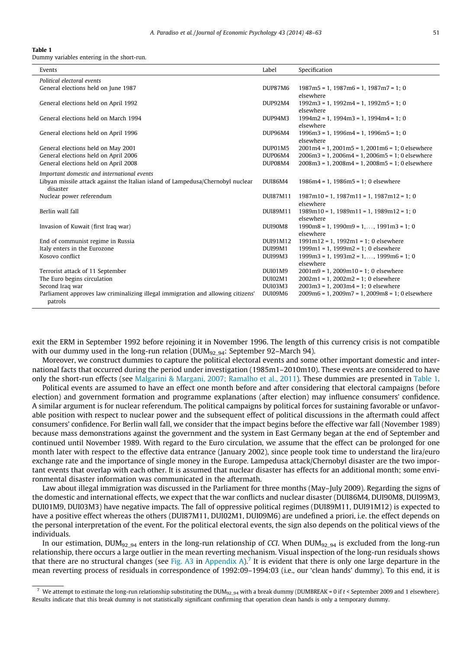#### <span id="page-3-0"></span>Table 1

Dummy variables entering in the short-run.

| Events                                                                           | Label          | Specification                                            |
|----------------------------------------------------------------------------------|----------------|----------------------------------------------------------|
| Political electoral events                                                       |                |                                                          |
| General elections held on June 1987                                              | DUP87M6        | $1987m5 = 1$ , $1987m6 = 1$ , $1987m7 = 1$ ; 0           |
|                                                                                  |                | elsewhere                                                |
| General elections held on April 1992                                             | <b>DUP92M4</b> | $1992m3 = 1$ , $1992m4 = 1$ , $1992m5 = 1$ ; 0           |
|                                                                                  |                | elsewhere                                                |
| General elections held on March 1994                                             | DUP94M3        | $1994m2 = 1$ , $1994m3 = 1$ , $1994m4 = 1$ ; 0           |
|                                                                                  |                | elsewhere                                                |
| General elections held on April 1996                                             | DUP96M4        | $1996m3 = 1$ , $1996m4 = 1$ , $1996m5 = 1$ ; 0           |
|                                                                                  |                | elsewhere                                                |
| General elections held on May 2001                                               | DUP01M5        | $2001m4 = 1$ , $2001m5 = 1$ , $2001m6 = 1$ ; 0 elsewhere |
| General elections held on April 2006                                             | DUP06M4        | $2006m3 = 1, 2006m4 = 1, 2006m5 = 1; 0$ elsewhere        |
| General elections held on April 2008                                             | DUP08M4        | $2008m3 = 1, 2008m4 = 1, 2008m5 = 1; 0$ elsewhere        |
| Important domestic and international events                                      |                |                                                          |
| Libyan missile attack against the Italian island of Lampedusa/Chernobyl nuclear  | DUI86M4        | $1986m4 = 1$ , $1986m5 = 1$ ; 0 elsewhere                |
| disaster                                                                         |                |                                                          |
| Nuclear power referendum                                                         | DUI87M11       | $1987m10 = 1$ , $1987m11 = 1$ , $1987m12 = 1$ ; 0        |
|                                                                                  |                | elsewhere                                                |
| Berlin wall fall                                                                 | DUI89M11       | $1989m10 = 1$ , $1989m11 = 1$ , $1989m12 = 1$ ; 0        |
|                                                                                  |                | elsewhere                                                |
| Invasion of Kuwait (first Iraq war)                                              | DUI90M8        | $1990m8 = 1$ , $1990m9 = 1$ , , $1991m3 = 1$ ; 0         |
|                                                                                  |                | elsewhere                                                |
| End of communist regime in Russia                                                | DUI91M12       | $1991m12 = 1$ , $1992m1 = 1$ ; 0 elsewhere               |
| Italy enters in the Eurozone                                                     | DUI99M1        | $1999m1 = 1$ , $1999m2 = 1$ ; 0 elsewhere                |
| Kosovo conflict                                                                  | DUI99M3        | $1999m3 = 1$ , $1993m2 = 1$ , , $1999m6 = 1$ ; 0         |
|                                                                                  |                | elsewhere                                                |
| Terrorist attack of 11 September                                                 | DUI01M9        | $2001m9 = 1$ , $2009m10 = 1$ ; 0 elsewhere               |
| The Euro begins circulation                                                      | <b>DUI02M1</b> | $2002m1 = 1$ , $2002m2 = 1$ ; 0 elsewhere                |
| Second Iraq war                                                                  | DUI03M3        | $2003m3 = 1$ , $2003m4 = 1$ ; 0 elsewhere                |
| Parliament approves law criminalizing illegal immigration and allowing citizens' | DUI09M6        | $2009m6 = 1$ , $2009m7 = 1$ , $2009m8 = 1$ ; 0 elsewhere |
| patrols                                                                          |                |                                                          |

exit the ERM in September 1992 before rejoining it in November 1996. The length of this currency crisis is not compatible with our dummy used in the long-run relation ( $DUM_{92-94}$ : September 92–March 94).

Moreover, we construct dummies to capture the political electoral events and some other important domestic and international facts that occurred during the period under investigation (1985m1–2010m10). These events are considered to have only the short-run effects (see [Malgarini & Margani, 2007; Ramalho et al., 2011](#page-15-0)). These dummies are presented in Table 1.

Political events are assumed to have an effect one month before and after considering that electoral campaigns (before election) and government formation and programme explanations (after election) may influence consumers' confidence. A similar argument is for nuclear referendum. The political campaigns by political forces for sustaining favorable or unfavorable position with respect to nuclear power and the subsequent effect of political discussions in the aftermath could affect consumers' confidence. For Berlin wall fall, we consider that the impact begins before the effective war fall (November 1989) because mass demonstrations against the government and the system in East Germany began at the end of September and continued until November 1989. With regard to the Euro circulation, we assume that the effect can be prolonged for one month later with respect to the effective data entrance (January 2002), since people took time to understand the lira/euro exchange rate and the importance of single money in the Europe. Lampedusa attack/Chernobyl disaster are the two important events that overlap with each other. It is assumed that nuclear disaster has effects for an additional month; some environmental disaster information was communicated in the aftermath.

Law about illegal immigration was discussed in the Parliament for three months (May–July 2009). Regarding the signs of the domestic and international effects, we expect that the war conflicts and nuclear disaster (DUI86M4, DUI90M8, DUI99M3, DUI01M9, DUI03M3) have negative impacts. The fall of oppressive political regimes (DUI89M11, DUI91M12) is expected to have a positive effect whereas the others (DUI87M11, DUI02M1, DUI09M6) are undefined a priori, i.e. the effect depends on the personal interpretation of the event. For the political electoral events, the sign also depends on the political views of the individuals.

In our estimation, DUM<sub>92\_94</sub> enters in the long-run relationship of CCI. When DUM<sub>92\_94</sub> is excluded from the long-run relationship, there occurs a large outlier in the mean reverting mechanism. Visual inspection of the long-run residuals shows that there are no structural changes (see [Fig. A3](#page-13-0) in [Appendix A\)](#page-12-0).<sup>7</sup> It is evident that there is only one large departure in the mean reverting process of residuals in correspondence of 1992:09–1994:03 (i.e., our 'clean hands' dummy). To this end, it is

We attempt to estimate the long-run relationship substituting the DUM<sub>92\_94</sub> with a break dummy (DUMBREAK = 0 if  $t$  < September 2009 and 1 elsewhere). Results indicate that this break dummy is not statistically significant confirming that operation clean hands is only a temporary dummy.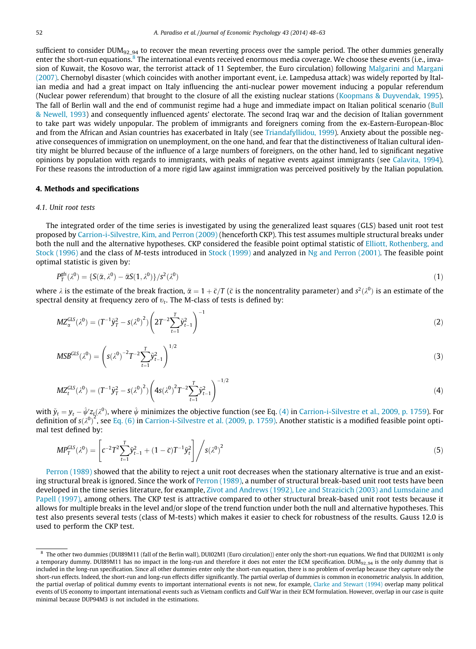<span id="page-4-0"></span>sufficient to consider DUM<sub>92\_94</sub> to recover the mean reverting process over the sample period. The other dummies generally enter the short-run equations.<sup>8</sup> The international events received enormous media coverage. We choose these events (i.e., invasion of Kuwait, the Kosovo war, the terrorist attack of 11 September, the Euro circulation) following [Malgarini and Margani](#page-15-0) [\(2007\)](#page-15-0). Chernobyl disaster (which coincides with another important event, i.e. Lampedusa attack) was widely reported by Italian media and had a great impact on Italy influencing the anti-nuclear power movement inducing a popular referendum (Nuclear power referendum) that brought to the closure of all the existing nuclear stations [\(Koopmans & Duyvendak, 1995\)](#page-15-0). The fall of Berlin wall and the end of communist regime had a huge and immediate impact on Italian political scenario ([Bull](#page-14-0) [& Newell, 1993](#page-14-0)) and consequently influenced agents' electorate. The second Iraq war and the decision of Italian government to take part was widely unpopular. The problem of immigrants and foreigners coming from the ex-Eastern-European-Bloc and from the African and Asian countries has exacerbated in Italy (see [Triandafyllidou, 1999\)](#page-15-0). Anxiety about the possible negative consequences of immigration on unemployment, on the one hand, and fear that the distinctiveness of Italian cultural identity might be blurred because of the influence of a large numbers of foreigners, on the other hand, led to significant negative opinions by population with regards to immigrants, with peaks of negative events against immigrants (see [Calavita, 1994\)](#page-14-0). For these reasons the introduction of a more rigid law against immigration was perceived positively by the Italian population.

#### 4. Methods and specifications

#### 4.1. Unit root tests

The integrated order of the time series is investigated by using the generalized least squares (GLS) based unit root test proposed by [Carrion-i-Silvestre, Kim, and Perron \(2009\)](#page-14-0) (henceforth CKP). This test assumes multiple structural breaks under both the null and the alternative hypotheses. CKP considered the feasible point optimal statistic of [Elliott, Rothenberg, and](#page-14-0) [Stock \(1996\)](#page-14-0) and the class of M-tests introduced in [Stock \(1999\)](#page-15-0) and analyzed in [Ng and Perron \(2001\).](#page-15-0) The feasible point optimal statistic is given by:

$$
P_T^{\rm gls}(\lambda^0) = \{ S(\bar{\alpha}, \lambda^0) - \bar{\alpha} S(1, \lambda^0) \} / s^2(\lambda^0)
$$
\n(1)

where  $\lambda$  is the estimate of the break fraction,  $\bar\alpha=1+\bar c/T$  ( $\bar c$  is the noncentrality parameter) and  $s^2(\lambda^0)$  is an estimate of the spectral density at frequency zero of  $v_t$ . The M-class of tests is defined by:

$$
MZ_{\alpha}^{GLS}(\lambda^0) = (T^{-1}\tilde{y}_T^2 - s(\lambda^0)^2) \left(2T^{-2} \sum_{t=1}^T \tilde{y}_{t-1}^2\right)^{-1}
$$
(2)

$$
MSB^{GLS}(\lambda^0) = \left(s(\lambda^0)^{-2}T^{-2}\sum_{t=1}^T \tilde{y}_{t-1}^2\right)^{1/2}
$$
 (3)

$$
MZ_t^{GLS}(\lambda^0) = (T^{-1}\tilde{y}_T^2 - s(\lambda^0)^2) \left(4s(\lambda^0)^2 T^{-2} \sum_{t=1}^T \tilde{y}_{t-1}^2\right)^{-1/2}
$$
(4)

with  $\tilde{y}_t = y_t - \hat{\psi}' z_\zeta(\lambda^0)$ , where  $\hat{\psi}$  minimizes the objective function (see Eq. (4) in [Carrion-i-Silvestre et al., 2009, p. 1759](#page-14-0)). For definition of  $s(x^0)^2$ , see [Eq. \(6\)](#page-5-0) in [Carrion-i-Silvestre et al. \(2009, p. 1759\)](#page-14-0). Another statistic is a modified feasible point optimal test defined by:

$$
MP_T^{GLS}(\lambda^0) = \left[ c^{-2} T^2 \sum_{t=1}^T \tilde{y}_{t-1}^2 + (1 - \bar{c}) T^{-1} \tilde{y}_t^2 \right] / s(\lambda^0)^2 \tag{5}
$$

[Perron \(1989\)](#page-15-0) showed that the ability to reject a unit root decreases when the stationary alternative is true and an exist-ing structural break is ignored. Since the work of [Perron \(1989\),](#page-15-0) a number of structural break-based unit root tests have been developed in the time series literature, for example, [Zivot and Andrews \(1992\), Lee and Strazicich \(2003\) and Lumsdaine and](#page-15-0) [Papell \(1997\),](#page-15-0) among others. The CKP test is attractive compared to other structural break-based unit root tests because it allows for multiple breaks in the level and/or slope of the trend function under both the null and alternative hypotheses. This test also presents several tests (class of M-tests) which makes it easier to check for robustness of the results. Gauss 12.0 is used to perform the CKP test.

<sup>8</sup> The other two dummies (DUI89M11 (fall of the Berlin wall), DUI02M1 (Euro circulation)) enter only the short-run equations. We find that DUI02M1 is only a temporary dummy. DUI89M11 has no impact in the long-run and therefore it does not enter the ECM specification. DUM<sub>92\_94</sub> is the only dummy that is included in the long-run specification. Since all other dummies enter only the short-run equation, there is no problem of overlap because they capture only the short-run effects. Indeed, the short-run and long-run effects differ significantly. The partial overlap of dummies is common in econometric analysis. In addition, the partial overlap of political dummy events to important international events is not new, for example, [Clarke and Stewart \(1994\)](#page-14-0) overlap many political events of US economy to important international events such as Vietnam conflicts and Gulf War in their ECM formulation. However, overlap in our case is quite minimal because DUP94M3 is not included in the estimations.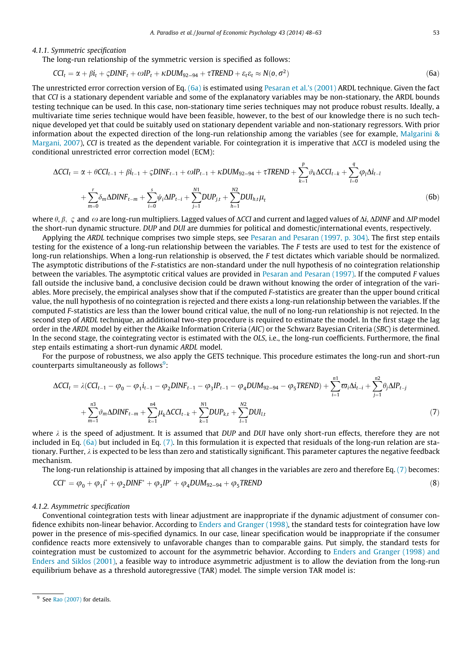#### <span id="page-5-0"></span>4.1.1. Symmetric specification

The long-run relationship of the symmetric version is specified as follows:

$$
CCI_t = \alpha + \beta i_t + \varsigma DINF_t + \omega IP_t + \kappa DUM_{92-94} + \tau TREND + \varepsilon_t \varepsilon_t \approx N(o, \sigma^2)
$$
\n(6a)

The unrestricted error correction version of Eq. (6a) is estimated using [Pesaran et al.'s \(2001\)](#page-15-0) ARDL technique. Given the fact that CCI is a stationary dependent variable and some of the explanatory variables may be non-stationary, the ARDL bounds testing technique can be used. In this case, non-stationary time series techniques may not produce robust results. Ideally, a multivariate time series technique would have been feasible, however, to the best of our knowledge there is no such technique developed yet that could be suitably used on stationary dependent variable and non-stationary regressors. With prior information about the expected direction of the long-run relationship among the variables (see for example, [Malgarini &](#page-15-0) [Margani, 2007\)](#page-15-0), CCI is treated as the dependent variable. For cointegration it is imperative that ACCI is modeled using the conditional unrestricted error correction model (ECM):

$$
\Delta CCI_{t} = \alpha + \theta CCI_{t-1} + \beta i_{t-1} + \varsigma DINF_{t-1} + \omega IP_{t-1} + \kappa DUM_{92-94} + \tau TREND + \sum_{k=1}^{p} \vartheta_{k} \Delta CCI_{t-k} + \sum_{l=0}^{q} \varphi_{l} \Delta i_{t-l} + \sum_{m=0}^{r} \delta_{m} \Delta DINF_{t-m} + \sum_{i=0}^{s} \psi_{i} \Delta IP_{t-i} + \sum_{j=1}^{N1} DUP_{j,t} + \sum_{h=1}^{N2} DUI_{h,t} \mu_{t}
$$
\n(6b)

where  $\theta$ ,  $\beta$ ,  $\varsigma$  and  $\omega$  are long-run multipliers. Lagged values of  $\Delta CCI$  and current and lagged values of  $\Delta i$ ,  $\Delta DINF$  and  $\Delta IP$  model the short-run dynamic structure. DUP and DUI are dummies for political and domestic/international events, respectively.

Applying the ARDL technique comprises two simple steps, see [Pesaran and Pesaran \(1997, p. 304\).](#page-15-0) The first step entails testing for the existence of a long-run relationship between the variables. The F tests are used to test for the existence of long-run relationships. When a long-run relationship is observed, the F test dictates which variable should be normalized. The asymptotic distributions of the F-statistics are non-standard under the null hypothesis of no cointegration relationship between the variables. The asymptotic critical values are provided in [Pesaran and Pesaran \(1997\)](#page-15-0). If the computed F values fall outside the inclusive band, a conclusive decision could be drawn without knowing the order of integration of the variables. More precisely, the empirical analyses show that if the computed F-statistics are greater than the upper bound critical value, the null hypothesis of no cointegration is rejected and there exists a long-run relationship between the variables. If the computed F-statistics are less than the lower bound critical value, the null of no long-run relationship is not rejected. In the second step of ARDL technique, an additional two-step procedure is required to estimate the model. In the first stage the lag order in the ARDL model by either the Akaike Information Criteria (AIC) or the Schwarz Bayesian Criteria (SBC) is determined. In the second stage, the cointegrating vector is estimated with the OLS, i.e., the long-run coefficients. Furthermore, the final step entails estimating a short-run dynamic ARDL model.

For the purpose of robustness, we also apply the GETS technique. This procedure estimates the long-run and short-run counterparts simultaneously as follows<sup>9</sup>:

$$
\Delta CCI_{t} = \lambda (CCI_{t-1} - \varphi_{0} - \varphi_{1}i_{t-1} - \varphi_{2}DINF_{t-1} - \varphi_{3}IP_{t-1} - \varphi_{4}DUM_{92-94} - \varphi_{5}TREND) + \sum_{i=1}^{n1} \varpi_{i}\Delta i_{t-i} + \sum_{j=1}^{n2} \theta_{j}\Delta IP_{t-j} + \sum_{m=1}^{n3} \vartheta_{m}\Delta DINF_{t-m} + \sum_{k=1}^{n4} \mu_{k}\Delta CCI_{t-k} + \sum_{k=1}^{N1} DUP_{k,t} + \sum_{l=1}^{N2} DUI_{l,t}
$$
\n(7)

where  $\lambda$  is the speed of adjustment. It is assumed that DUP and DUI have only short-run effects, therefore they are not included in Eq.  $(6a)$  but included in Eq.  $(7)$ . In this formulation it is expected that residuals of the long-run relation are stationary. Further,  $\lambda$  is expected to be less than zero and statistically significant. This parameter captures the negative feedback mechanism.

The long-run relationship is attained by imposing that all changes in the variables are zero and therefore Eq. (7) becomes:

$$
CCI^* = \varphi_0 + \varphi_1 i^* + \varphi_2 DINF^* + \varphi_3 IP^* + \varphi_4 DUM_{92-94} + \varphi_5 TREND
$$
\n(8)

#### 4.1.2. Asymmetric specification

Conventional cointegration tests with linear adjustment are inappropriate if the dynamic adjustment of consumer confidence exhibits non-linear behavior. According to [Enders and Granger \(1998\)](#page-14-0), the standard tests for cointegration have low power in the presence of mis-specified dynamics. In our case, linear specification would be inappropriate if the consumer confidence reacts more extensively to unfavorable changes than to comparable gains. Put simply, the standard tests for cointegration must be customized to account for the asymmetric behavior. According to [Enders and Granger \(1998\) and](#page-14-0) [Enders and Siklos \(2001\)](#page-14-0), a feasible way to introduce asymmetric adjustment is to allow the deviation from the long-run equilibrium behave as a threshold autoregressive (TAR) model. The simple version TAR model is:

 $9$  See [Rao \(2007\)](#page-15-0) for details.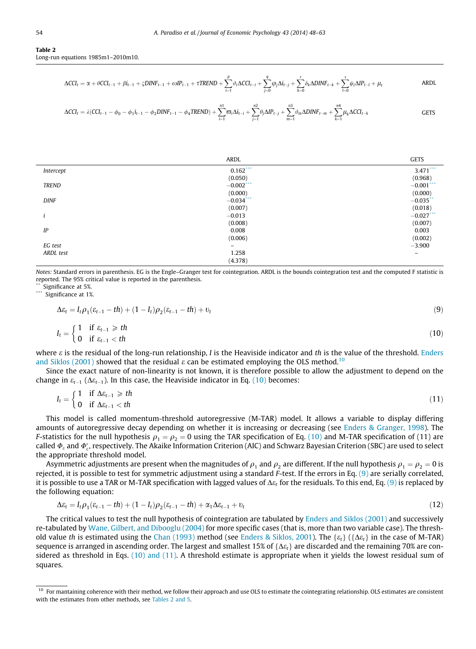#### <span id="page-6-0"></span>Table 2 Long-run equations 1985m1–2010m10.

$$
\Delta C C I_t = \alpha + \theta C C I_{t-1} + \beta i_{t-1} + \varsigma DINF_{t-1} + \omega IP_{t-1} + \tau TREND + \sum_{i=1}^p \vartheta_i \Delta C C I_{t-i} + \sum_{j=0}^q \varphi_j \Delta i_{t-j} + \sum_{k=0}^r \delta_k \Delta DINF_{t-k} + \sum_{l=0}^s \psi_l \Delta IP_{t-l} + \mu_t
$$

$$
\Delta CCI_{t} = \lambda (CCI_{t-1} - \phi_0 - \phi_1 i_{t-1} - \phi_2 DINF_{t-1} - \phi_4 TREND) + \sum_{i=1}^{n_1} \sigma_i \Delta i_{t-i} + \sum_{j=1}^{n_2} \theta_j \Delta IP_{t-j} + \sum_{m=1}^{n_3} \vartheta_m \Delta DINF_{t-m} + \sum_{k=1}^{n_4} \mu_k \Delta CCI_{t-k}
$$

|              | ARDL         | <b>GETS</b>       |
|--------------|--------------|-------------------|
| Intercept    | $0.162***$   | $3.471***$        |
|              | (0.050)      | (0.968)           |
| <b>TREND</b> | $-0.002$ *** | $-0.001$ ***      |
|              | (0.000)      | (0.000)           |
| <b>DINF</b>  | $-0.034$ *** | $-0.035$ **       |
|              | (0.007)      | (0.018)           |
|              | $-0.013$     | $-0.027***$       |
|              | (0.008)      | (0.007)           |
| IP           | 0.008        | 0.003             |
|              | (0.006)      | (0.002)           |
| EG test      | $\equiv$     | $-3.900$          |
| ARDL test    | 1.258        | $\qquad \qquad -$ |
|              | (4.378)      |                   |

Notes: Standard errors in parenthesis. EG is the Engle–Granger test for cointegration. ARDL is the bounds cointegration test and the computed F statistic is reported. The 95% critical value is reported in the parenthesis.

Significance at 5%.

Significance at 1%.

$$
\Delta \varepsilon_t = I_t \rho_1 (\varepsilon_{t-1} - th) + (1 - I_t) \rho_2 (\varepsilon_{t-1} - th) + v_t \tag{9}
$$

$$
I_t = \begin{cases} 1 & \text{if } \varepsilon_{t-1} \geq t h \\ 0 & \text{if } \varepsilon_{t-1} < t h \end{cases} \tag{10}
$$

where  $\varepsilon$  is the residual of the long-run relationship,  $I$  is the Heaviside indicator and th is the value of the threshold. [Enders](#page-14-0) [and Siklos \(2001\)](#page-14-0) showed that the residual  $\varepsilon$  can be estimated employing the OLS method.<sup>10</sup>

Since the exact nature of non-linearity is not known, it is therefore possible to allow the adjustment to depend on the change in  $\varepsilon_{t-1}$  ( $\Delta \varepsilon_{t-1}$ ). In this case, the Heaviside indicator in Eq. (10) becomes:

$$
I_t = \begin{cases} 1 & \text{if } \Delta \varepsilon_{t-1} \geq t h \\ 0 & \text{if } \Delta \varepsilon_{t-1} < t h \end{cases} \tag{11}
$$

This model is called momentum-threshold autoregressive (M-TAR) model. It allows a variable to display differing amounts of autoregressive decay depending on whether it is increasing or decreasing (see [Enders & Granger, 1998\)](#page-14-0). The *F*-statistics for the null hypothesis  $\rho_1 = \rho_2 = 0$  using the TAR specification of Eq. (10) and M-TAR specification of (11) are called  $\varPhi_\varepsilon$  and  $\varPhi_\varepsilon^*$ , respectively. The Akaike Information Criterion (AIC) and Schwarz Bayesian Criterion (SBC) are used to select the appropriate threshold model.

Asymmetric adjustments are present when the magnitudes of  $\rho_1$  and  $\rho_2$  are different. If the null hypothesis  $\rho_1 = \rho_2 = 0$  is rejected, it is possible to test for symmetric adjustment using a standard  $F$ -test. If the errors in Eq. [\(9\)](#page-5-0) are serially correlated, it is possible to use a TAR or M-TAR specification with lagged values of  $\Delta \varepsilon_t$  for the residuals. To this end, Eq. [\(9\)](#page-5-0) is replaced by the following equation:

$$
\Delta \varepsilon_t = I_t \rho_1 (\varepsilon_{t-1} - th) + (1 - I_t) \rho_2 (\varepsilon_{t-1} - th) + \alpha_1 \Delta \varepsilon_{t-1} + v_t
$$
\n(12)

The critical values to test the null hypothesis of cointegration are tabulated by [Enders and Siklos \(2001\)](#page-14-0) and successively re-tabulated by [Wane, Gilbert, and Dibooglu \(2004\)](#page-15-0) for more specific cases (that is, more than two variable case). The thresh-old value th is estimated using the [Chan \(1993\)](#page-14-0) method (see [Enders & Siklos, 2001](#page-14-0)). The  $\{\varepsilon_t\}$  ( $\{\Delta\varepsilon_t\}$  in the case of M-TAR) sequence is arranged in ascending order. The largest and smallest 15% of { $\Delta \varepsilon_t$ } are discarded and the remaining 70% are considered as threshold in Eqs. (10) and (11). A threshold estimate is appropriate when it yields the lowest residual sum of squares.

<sup>&</sup>lt;sup>10</sup> For mantaining coherence with their method, we follow their approach and use OLS to estimate the cointegrating relationship. OLS estimates are consistent with the estimates from other methods, see Tables 2 and 5.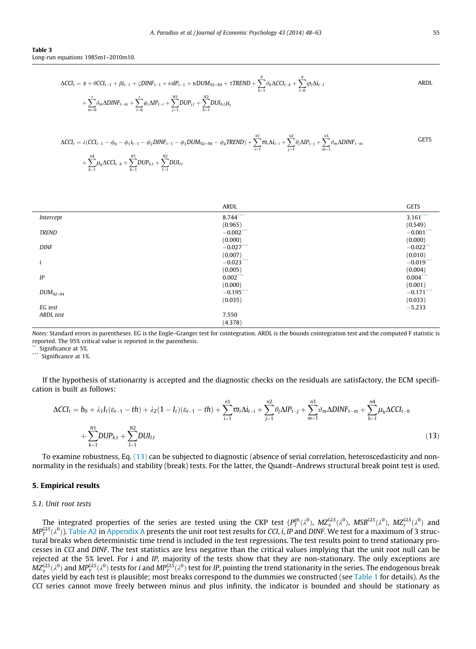<span id="page-7-0"></span>Table 3 Long-run equations 1985m1–2010m10.

$$
\Delta CCI_{t} = \alpha + \theta CCI_{t-1} + \beta i_{t-1} + \varsigma DINF_{t-1} + \omega IP_{t-1} + \kappa DUM_{92-94} + \tau TREND + \sum_{k=1}^{p} \vartheta_{k} \Delta CCI_{t-k} + \sum_{l=0}^{q} \varphi_{l} \Delta i_{t-l} + \sum_{l=0}^{r} \delta_{m} \Delta DINF_{t-m} + \sum_{i=0}^{s} \psi_{i} \Delta IP_{t-i} + \sum_{j=1}^{N1} DUP_{j,t} + \sum_{h=1}^{N2} DUI_{h,t} \mu_{t}
$$

$$
\Delta CCI_{t} = \lambda (CCI_{t-1} - \phi_0 - \phi_1 i_{t-1} - \phi_2 DINF_{t-1} - \phi_3 DUM_{92-94} - \phi_4 TREND) + \sum_{i=1}^{n1} \varpi_i \Delta i_{t-i} + \sum_{j=1}^{n2} \theta_j \Delta IP_{t-j} + \sum_{m=1}^{n3} \vartheta_m \Delta DINF_{t-m}
$$
 GETS
$$
+ \sum_{k=1}^{n4} \mu_k \Delta CCI_{t-k} + \sum_{k=1}^{N1} DUP_{k,t} + \sum_{l=1}^{N2} DUI_{l,t}
$$

|               | ARDL         | <b>GETS</b>  |
|---------------|--------------|--------------|
| Intercept     | 8.744***     | $3.161***$   |
|               | (0.965)      | (0.549)      |
| <b>TREND</b>  | $-0.002$ *** | $-0.001$ *** |
|               | (0.000)      | (0.000)      |
| <b>DINF</b>   | $-0.027$ *** | $-0.022$ **  |
|               | (0.007)      | (0.010)      |
|               | $-0.023$ *** | $-0.019$ *** |
|               | (0.005)      | (0.004)      |
| $I\!P$        | $0.002$ ***  | $0.004$ ***  |
|               | (0.000)      | (0.001)      |
| $DUM_{92-94}$ | $-0.195$ *** | $-0.171$ *** |
|               | (0.035)      | (0.033)      |
| EG test       |              | $-5.233$     |
| ARDL test     | 7.550        |              |
|               | (4.378)      |              |

Notes: Standard errors in parentheses. EG is the Engle–Granger test for cointegration. ARDL is the bounds cointegration test and the computed F statistic is reported. The 95% critical value is reported in the parenthesis.

Significance at 5%.

\*\*\* Significance at 1%.

If the hypothesis of stationarity is accepted and the diagnostic checks on the residuals are satisfactory, the ECM specification is built as follows:

$$
\Delta C C I_t = b_0 + \lambda_1 I_t (\varepsilon_{t-1} - th) + \lambda_2 (1 - I_t) (\varepsilon_{t-1} - th) + \sum_{i=1}^{n_1} \varpi_i \Delta i_{t-i} + \sum_{j=1}^{n_2} \theta_j \Delta I P_{t-j} + \sum_{m=1}^{n_3} \vartheta_m \Delta D I N F_{t-m} + \sum_{h=1}^{n_4} \mu_h \Delta C C I_{t-h} + \sum_{k=1}^{N_1} D U P_{k,t} + \sum_{l=1}^{N_2} D U I_{l,t}
$$
\n(13)

To examine robustness, Eq. (13) can be subjected to diagnostic (absence of serial correlation, heteroscedasticity and nonnormality in the residuals) and stability (break) tests. For the latter, the Quandt–Andrews structural break point test is used.

#### 5. Empirical results

#### 5.1. Unit root tests

The integrated properties of the series are tested using the CKP test  $(P_T^{gls}(\lambda^0), M Z_\alpha^{GLS}(\lambda^0), M S B^{GLS}(\lambda^0), M Z_t^{GLS}(\lambda^0)$  and MP $_G^{GLS}(\lambda^0)$ ). [Table A2](#page-14-0) in [Appendix A](#page-12-0) presents the unit root test results for CCI, i, IP and DINF. We test for a maximum of 3 structural breaks when deterministic time trend is included in the test regressions. The test results point to trend stationary processes in CCI and DINF. The test statistics are less negative than the critical values implying that the unit root null can be rejected at the 5% level. For  $i$  and IP, majority of the tests show that they are non-stationary. The only exceptions are  $M\!Z_\alpha^{GLS}(\lambda^0)$  and  $M\!P_T^{GLS}(\lambda^0)$  tests for  $i$  and  $M\!P_T^{GLS}(\lambda^0)$  test for IP, pointing the trend stationarity in the series. The endogenous break dates yield by each test is plausible; most breaks correspond to the dummies we constructed (see [Table 1](#page-3-0) for details). As the CCI series cannot move freely between minus and plus infinity, the indicator is bounded and should be stationary as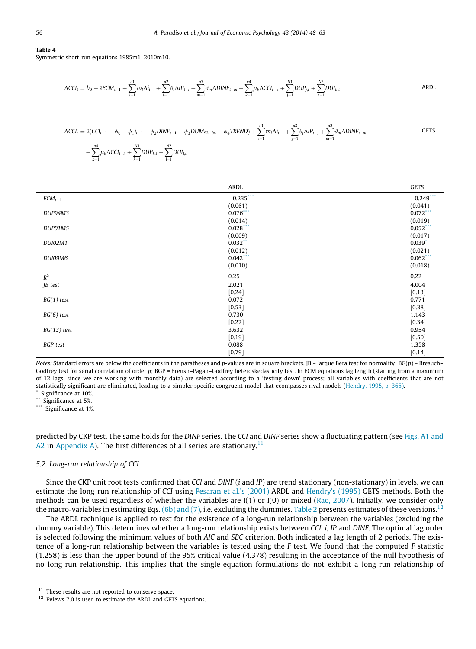#### <span id="page-8-0"></span>Table 4 Symmetric short-run equations 1985m1–2010m10.

$$
\Delta CCI_{t} = b_{0} + \lambda ECM_{t-1} + \sum_{l=1}^{n1} \varpi_{l} \Delta i_{t-l} + \sum_{i=1}^{n2} \theta_{i} \Delta IP_{t-i} + \sum_{m=1}^{n3} \vartheta_{m} \Delta DINF_{t-m} + \sum_{k=1}^{n4} \mu_{k} \Delta CCI_{t-k} + \sum_{j=1}^{N1} DUP_{j,t} + \sum_{h=1}^{N2} DUI_{h,t}
$$

$$
\Delta CCI_{t} = \lambda (CCI_{t-1} - \phi_0 - \phi_1 i_{t-1} - \phi_2 DINF_{t-1} - \phi_3 DUM_{92-94} - \phi_4 TREND) + \sum_{i=1}^{n1} \varpi_i \Delta i_{t-i} + \sum_{j=1}^{n2} \theta_j \Delta IP_{t-j} + \sum_{m=1}^{n3} \vartheta_m \Delta DINF_{t-m}
$$
 GETS

$$
+\sum_{k=1}^{n4}\mu_k\Delta CCI_{t-k}+\sum_{k=1}^{N1}DUP_{k,t}+\sum_{l=1}^{N2}DUI_{l,t}
$$

|                  | <b>ARDL</b> | <b>GETS</b>  |
|------------------|-------------|--------------|
| $ECM_{t-1}$      | $-0.235***$ | $-0.249$ *** |
|                  | (0.061)     | (0.041)      |
| DUP94M3          | $0.076***$  | $0.072***$   |
|                  | (0.014)     | (0.019)      |
| DUP01M5          | 0.028       | $0.052$ ***  |
|                  | (0.009)     | (0.017)      |
| <b>DUI02M1</b>   | $0.032$ **  | $0.039*$     |
|                  | (0.012)     | (0.021)      |
| DUI09M6          | $0.042$ *** | $0.062$ ***  |
|                  | (0.010)     | (0.018)      |
| $\overline{R}^2$ | 0.25        | 0.22         |
| JB test          | 2.021       | 4.004        |
|                  | [0.24]      | [0.13]       |
| $BG(1)$ test     | 0.072       | 0.771        |
|                  | [0.53]      | [0.38]       |
| $BG(6)$ test     | 0.730       | 1.143        |
|                  | [0.22]      | [0.34]       |
| $BG(13)$ test    | 3.632       | 0.954        |
|                  | [0.19]      | $[0.50]$     |
| <b>BGP</b> test  | 0.088       | 1.358        |
|                  | [0.79]      | [0.14]       |

Notes: Standard errors are below the coefficients in the paratheses and p-values are in square brackets.  $|B| = |argue|$  Bera test for normality;  $BG(p) = B$ resuch– Godfrey test for serial correlation of order p; BGP = Breush–Pagan–Godfrey heteroskedasticity test. In ECM equations lag length (starting from a maximum of 12 lags, since we are working with monthly data) are selected according to a 'testing down' process; all variables with coefficients that are not statistically significant are eliminated, leading to a simpler specific congruent model that ecompasses rival models ([Hendry, 1995, p. 365\).](#page-15-0) Significance at 10%.

\*\* Significance at 5%.

\*\*\* Significance at 1%.

predicted by CKP test. The same holds for the DINF series. The CCI and DINF series show a fluctuating pattern (see [Figs. A1 and](#page-13-0) [A2](#page-13-0) in [Appendix A](#page-12-0)). The first differences of all series are stationary.<sup>11</sup>

#### 5.2. Long-run relationship of CCI

Since the CKP unit root tests confirmed that CCI and  $DINE$  (i and IP) are trend stationary (non-stationary) in levels, we can estimate the long-run relationship of CCI using [Pesaran et al.'s \(2001\)](#page-15-0) ARDL and [Hendry's \(1995\)](#page-15-0) GETS methods. Both the methods can be used regardless of whether the variables are  $I(1)$  or  $I(0)$  or mixed [\(Rao, 2007\)](#page-15-0). Initially, we consider only the macro-variables in estimating Eqs. [\(6b\) and \(7\),](#page-5-0) i.e. excluding the dummies. [Table 2](#page-6-0) presents estimates of these versions.<sup>12</sup>

The ARDL technique is applied to test for the existence of a long-run relationship between the variables (excluding the dummy variable). This determines whether a long-run relationship exists between CCI, i, IP and DINF. The optimal lag order is selected following the minimum values of both AIC and SBC criterion. Both indicated a lag length of 2 periods. The existence of a long-run relationship between the variables is tested using the F test. We found that the computed F statistic (1.258) is less than the upper bound of the 95% critical value (4.378) resulting in the acceptance of the null hypothesis of no long-run relationship. This implies that the single-equation formulations do not exhibit a long-run relationship of

<sup>&</sup>lt;sup>11</sup> These results are not reported to conserve space.

 $12$  Eviews 7.0 is used to estimate the ARDL and GETS equations.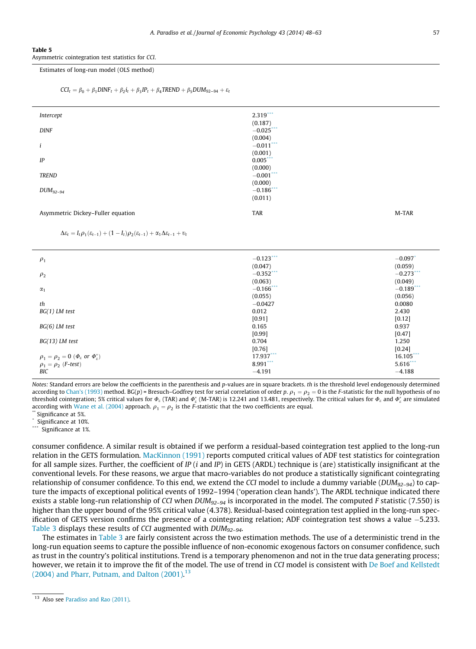#### <span id="page-9-0"></span>Table 5

Asymmetric cointegration test statistics for CCI.

#### Estimates of long-run model (OLS method)

```
CCI_t = \beta_0 + \beta_1 DINF_t + \beta_2 i_t + \beta_3 IP_t + \beta_4 TREND + \beta_5 DUM_{92-94} + \varepsilon_t
```

| Intercept                         | $2.319***$              |       |
|-----------------------------------|-------------------------|-------|
| <b>DINF</b>                       | (0.187)<br>$-0.025$ *** |       |
| i                                 | (0.004)<br>$-0.011$ *** |       |
|                                   | (0.001)                 |       |
| IP                                | $0.005***$<br>(0.000)   |       |
| <b>TREND</b>                      | $-0.001$ ***<br>(0.000) |       |
| $DUM_{92-94}$                     | $-0.186$                |       |
|                                   | (0.011)                 |       |
| Asymmetric Dickey-Fuller equation | <b>TAR</b>              | M-TAR |

 $\Delta \varepsilon_t = I_t \rho_1(\varepsilon_{t-1}) + (1 - I_t) \rho_2(\varepsilon_{t-1}) + \alpha_1 \Delta \varepsilon_{t-1} + \nu_t$ 

| $\rho_1$                                                                                                       | $-0.123$ ***<br>(0.047) | $-0.097$ <sup>*</sup><br>(0.059) |
|----------------------------------------------------------------------------------------------------------------|-------------------------|----------------------------------|
| $\rho_2$                                                                                                       | $-0.352$ ***<br>(0.063) | $-0.273$ ***<br>(0.049)          |
| $\alpha_1$                                                                                                     | $-0.166$ ***            | $-0.189$                         |
| th                                                                                                             | (0.055)<br>$-0.0427$    | (0.056)<br>0.0080                |
| $BG(1)$ LM test                                                                                                | 0.012<br>[0.91]         | 2.430<br>[0.12]                  |
| $BG(6)$ LM test                                                                                                | 0.165<br>[0.99]         | 0.937<br>[0.47]                  |
| $BG(13)$ LM test                                                                                               | 0.704                   | 1.250                            |
| $\rho_1=\rho_2=0$ $(\varPhi_{\scriptscriptstyle \mathcal{E}}$ or $\varPhi_{\scriptscriptstyle \mathcal{E}}^*)$ | [0.76]<br>17.937        | [0.24]<br>$16.105***$            |
| $\rho_1 = \rho_2$ ( <i>F-test</i> )                                                                            | 8.991                   | $5.616$ ***                      |
| BIC                                                                                                            | $-4.191$                | $-4.188$                         |

Notes: Standard errors are below the coefficients in the parenthesis and p-values are in square brackets. th is the threshold level endogenously determined according to [Chan's \(1993\)](#page-14-0) method. BG(p) = Bresuch–Godfrey test for serial correlation of order p.  $\rho_1 = \rho_2 = 0$  is the F-statistic for the null hypothesis of no threshold cointegration; 5% critical values for  $\varPhi_{\varepsilon}$  (TAR) and  $\varPhi_{\varepsilon}^*$  (M-TAR) is 12.241 and 13.481, respectively. The critical values for  $\varPhi_{\varepsilon}$  and  $\varPhi_{\varepsilon}^*$  are simulated according with [Wane et al. \(2004\)](#page-15-0) approach.  $\rho_1 = \rho_2$  is the F-statistic that the two coefficients are equal. <br>\*\* Significance at 5%.

Significance at 10%.

Significance at 1%.

consumer confidence. A similar result is obtained if we perform a residual-based cointegration test applied to the long-run relation in the GETS formulation. [MacKinnon \(1991\)](#page-15-0) reports computed critical values of ADF test statistics for cointegration for all sample sizes. Further, the coefficient of IP (i and IP) in GETS (ARDL) technique is (are) statistically insignificant at the conventional levels. For these reasons, we argue that macro-variables do not produce a statistically significant cointegrating relationship of consumer confidence. To this end, we extend the CCI model to include a dummy variable ( $DUM_{92-94}$ ) to capture the impacts of exceptional political events of 1992–1994 ('operation clean hands'). The ARDL technique indicated there exists a stable long-run relationship of CCI when  $DUM_{92-94}$  is incorporated in the model. The computed F statistic (7.550) is higher than the upper bound of the 95% critical value (4.378). Residual-based cointegration test applied in the long-run specification of GETS version confirms the presence of a cointegrating relation; ADF cointegration test shows a value -5.233. [Table 3](#page-7-0) displays these results of CCI augmented with DUM92–94.

The estimates in [Table 3](#page-7-0) are fairly consistent across the two estimation methods. The use of a deterministic trend in the long-run equation seems to capture the possible influence of non-economic exogenous factors on consumer confidence, such as trust in the country's political institutions. Trend is a temporary phenomenon and not in the true data generating process; however, we retain it to improve the fit of the model. The use of trend in CCI model is consistent with [De Boef and Kellstedt](#page-14-0)  $(2004)$  and Pharr, Putnam, and Dalton  $(2001)^{13}$ 

<sup>&</sup>lt;sup>13</sup> Also see [Paradiso and Rao \(2011\).](#page-15-0)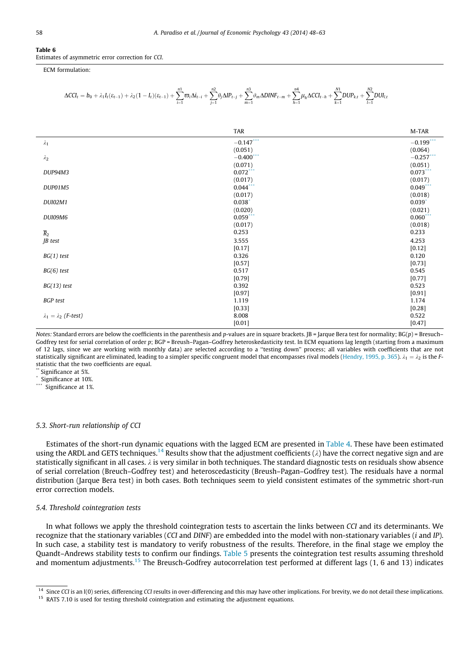#### <span id="page-10-0"></span>Table 6

Estimates of asymmetric error correction for CCI.

ECM formulation:

$$
\Delta C C I_{t} = b_0 + \lambda_1 I_{t} (\epsilon_{t-1}) + \lambda_2 (1-I_{t}) (\epsilon_{t-1}) + \sum_{i=1}^{n1} \varpi_i \Delta i_{t-i} + \sum_{j=1}^{n2} \theta_j \Delta I P_{t-j} + \sum_{m=1}^{n3} \vartheta_m \Delta D I N F_{t-m} + \sum_{h=1}^{n4} \mu_h \Delta C C I_{t-h} + \sum_{k=1}^{N1} D U P_{k,t} + \sum_{l=1}^{N2} D U I_{l,t}
$$

|                                  | <b>TAR</b>   | M-TAR        |
|----------------------------------|--------------|--------------|
| $\lambda_1$                      | $-0.147$     | $-0.199$ *** |
|                                  | (0.051)      | (0.064)      |
| $\lambda_2$                      | $-0.400$ *** | $-0.257***$  |
|                                  | (0.071)      | (0.051)      |
| DUP94M3                          | $0.072$ ***  | $0.073$ ***  |
|                                  | (0.017)      | (0.017)      |
| DUP01M5                          | $0.044$ ***  | $0.049$ ***  |
|                                  | (0.017)      | (0.018)      |
| <b>DUI02M1</b>                   | $0.038*$     | $0.039*$     |
|                                  | (0.020)      | (0.021)      |
| DUI09M6                          | $0.059***$   | $0.060***$   |
|                                  | (0.017)      | (0.018)      |
| $\overline{R}_2$                 | 0.253        | 0.233        |
| JB test                          | 3.555        | 4.253        |
|                                  | [0.17]       | [0.12]       |
| $BG(1)$ test                     | 0.326        | 0.120        |
|                                  | [0.57]       | [0.73]       |
| $BG(6)$ test                     | 0.517        | 0.545        |
|                                  | [0.79]       | [0.77]       |
| $BG(13)$ test                    | 0.392        | 0.523        |
|                                  | [0.97]       | [0.91]       |
| <b>BGP</b> test                  | 1.119        | 1.174        |
|                                  | [0.33]       | [0.28]       |
| $\lambda_1 = \lambda_2$ (F-test) | 8.008        | 0.522        |
|                                  | [0.01]       | [0.47]       |

Notes: Standard errors are below the coefficients in the parenthesis and p-values are in square brackets.  $JB = Jarque$  Bera test for normality;  $BG(p) = Bresuch-$ Godfrey test for serial correlation of order p; BGP = Breush–Pagan–Godfrey heteroskedasticity test. In ECM equations lag length (starting from a maximum of 12 lags, since we are working with monthly data) are selected according to a ''testing down'' process; all variables with coefficients that are not statistically significant are eliminated, leading to a simpler specific congruent model that encompasses rival models [\(Hendry, 1995, p. 365\)](#page-15-0).  $\lambda_1 = \lambda_2$  is the Fstatistic that the two coefficients are equal.

Significance at 5%.

Significance at 10%.

\*\*\* Significance at 1%.

#### 5.3. Short-run relationship of CCI

Estimates of the short-run dynamic equations with the lagged ECM are presented in [Table 4.](#page-8-0) These have been estimated using the ARDL and GETS techniques.<sup>14</sup> Results show that the adjustment coefficients ( $\lambda$ ) have the correct negative sign and are statistically significant in all cases.  $\lambda$  is very similar in both techniques. The standard diagnostic tests on residuals show absence of serial correlation (Breuch–Godfrey test) and heteroscedasticity (Breush–Pagan–Godfrey test). The residuals have a normal distribution (Jarque Bera test) in both cases. Both techniques seem to yield consistent estimates of the symmetric short-run error correction models.

#### 5.4. Threshold cointegration tests

In what follows we apply the threshold cointegration tests to ascertain the links between CCI and its determinants. We recognize that the stationary variables (CCI and DINF) are embedded into the model with non-stationary variables (i and IP). In such case, a stability test is mandatory to verify robustness of the results. Therefore, in the final stage we employ the Quandt–Andrews stability tests to confirm our findings. [Table 5](#page-9-0) presents the cointegration test results assuming threshold and momentum adjustments.<sup>15</sup> The Breusch-Godfrey autocorrelation test performed at different lags  $(1, 6$  and 13) indicates

<sup>&</sup>lt;sup>14</sup> Since CCI is an I(0) series, differencing CCI results in over-differencing and this may have other implications. For brevity, we do not detail these implications.

<sup>&</sup>lt;sup>15</sup> RATS 7.10 is used for testing threshold cointegration and estimating the adjustment equations.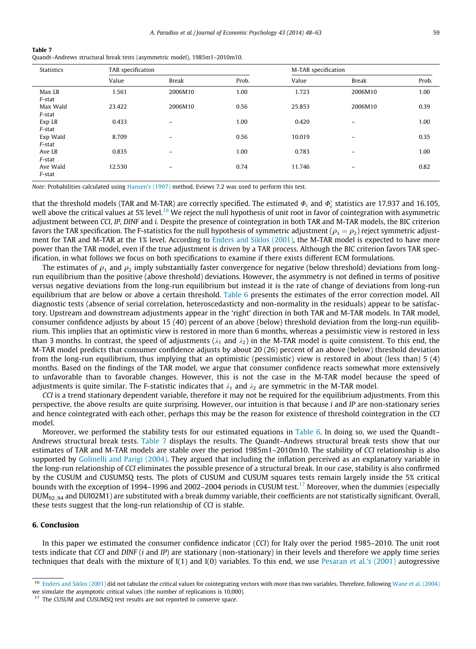<span id="page-11-0"></span>

| Table 7                                                                   |
|---------------------------------------------------------------------------|
| Quandt-Andrews structural break tests (asymmetric model), 1985m1-2010m10. |

| <b>Statistics</b>  | TAR specification |              |       | M-TAR specification |              |       |
|--------------------|-------------------|--------------|-------|---------------------|--------------|-------|
|                    | Value             | <b>Break</b> | Prob. | Value               | <b>Break</b> | Prob. |
| Max LR<br>F-stat   | 1.561             | 2006M10      | 1.00  | 1.723               | 2006M10      | 1.00  |
| Max Wald<br>F-stat | 23.422            | 2006M10      | 0.56  | 25.853              | 2006M10      | 0.39  |
| Exp LR<br>F-stat   | 0.433             | -            | 1.00  | 0.420               | -            | 1.00  |
| Exp Wald<br>F-stat | 8.709             | -            | 0.56  | 10.019              | -            | 0.35  |
| Ave LR<br>F-stat   | 0.835             | -            | 1.00  | 0.783               | -            | 1.00  |
| Ave Wald<br>F-stat | 12.530            | -            | 0.74  | 11.746              | -            | 0.82  |

Note: Probabilities calculated using [Hansen's \(1997\)](#page-15-0) method. Eviews 7.2 was used to perform this test.

that the threshold models (TAR and M-TAR) are correctly specified. The estimated  $\Phi_{\varepsilon}$  and  $\Phi_{\varepsilon}^*$  statistics are 17.937 and 16.105, well above the critical values at 5% level.<sup>16</sup> We reject the null hypothesis of unit root in favor of cointegration with asymmetric adjustment between CCI, IP, DINF and i. Despite the presence of cointegration in both TAR and M-TAR models, the BIC criterion favors the TAR specification. The F-statistics for the null hypothesis of symmetric adjustment ( $\rho_1 = \rho_2$ ) reject symmetric adjustment for TAR and M-TAR at the 1% level. According to [Enders and Siklos \(2001\),](#page-14-0) the M-TAR model is expected to have more power than the TAR model, even if the true adjustment is driven by a TAR process. Although the BIC criterion favors TAR specification, in what follows we focus on both specifications to examine if there exists different ECM formulations.

The estimates of  $\rho_1$  and  $\rho_2$  imply substantially faster convergence for negative (below threshold) deviations from longrun equilibrium than the positive (above threshold) deviations. However, the asymmetry is not defined in terms of positive versus negative deviations from the long-run equilibrium but instead it is the rate of change of deviations from long-run equilibrium that are below or above a certain threshold. [Table 6](#page-10-0) presents the estimates of the error correction model. All diagnostic tests (absence of serial correlation, heteroscedasticty and non-normality in the residuals) appear to be satisfactory. Upstream and downstream adjustments appear in the 'right' direction in both TAR and M-TAR models. In TAR model, consumer confidence adjusts by about 15 (40) percent of an above (below) threshold deviation from the long-run equilibrium. This implies that an optimistic view is restored in more than 6 months, whereas a pessimistic view is restored in less than 3 months. In contrast, the speed of adjustments ( $\lambda_1$  and  $\lambda_2$ ) in the M-TAR model is quite consistent. To this end, the M-TAR model predicts that consumer confidence adjusts by about 20 (26) percent of an above (below) threshold deviation from the long-run equilibrium, thus implying that an optimistic (pessimistic) view is restored in about (less than) 5 (4) months. Based on the findings of the TAR model, we argue that consumer confidence reacts somewhat more extensively to unfavorable than to favorable changes. However, this is not the case in the M-TAR model because the speed of adjustments is quite similar. The F-statistic indicates that  $\lambda_1$  and  $\lambda_2$  are symmetric in the M-TAR model.

CCI is a trend stationary dependent variable, therefore it may not be required for the equilibrium adjustments. From this perspective, the above results are quite surprising. However, our intuition is that because i and IP are non-stationary series and hence cointegrated with each other, perhaps this may be the reason for existence of threshold cointegration in the CCI model.

Moreover, we performed the stability tests for our estimated equations in [Table 6](#page-10-0). In doing so, we used the Quandt– Andrews structural break tests. Table 7 displays the results. The Quandt–Andrews structural break tests show that our estimates of TAR and M-TAR models are stable over the period 1985m1–2010m10. The stability of CCI relationship is also supported by [Golinelli and Parigi \(2004\)](#page-15-0). They argued that including the inflation perceived as an explanatory variable in the long-run relationship of CCI eliminates the possible presence of a structural break. In our case, stability is also confirmed by the CUSUM and CUSUMSQ tests. The plots of CUSUM and CUSUM squares tests remain largely inside the 5% critical bounds with the exception of 1994–1996 and 2002–2004 periods in CUSUM test.<sup>17</sup> Moreover, when the dummies (especially DUM<sub>92\_94</sub> and DUI02M1) are substituted with a break dummy variable, their coefficients are not statistically significant. Overall, these tests suggest that the long-run relationship of CCI is stable.

#### 6. Conclusion

In this paper we estimated the consumer confidence indicator (CCI) for Italy over the period 1985–2010. The unit root tests indicate that CCI and DINF (i and IP) are stationary (non-stationary) in their levels and therefore we apply time series techniques that deals with the mixture of I(1) and I(0) variables. To this end, we use [Pesaran et al.'s \(2001\)](#page-15-0) autogressive

<sup>&</sup>lt;sup>16</sup> [Enders and Siklos \(2001\)](#page-14-0) did not tabulate the critical values for cointegrating vectors with more than two variables. Therefore, following [Wane et al. \(2004\)](#page-15-0) we simulate the asymptotic critical values (the number of replications is 10,000).

<sup>&</sup>lt;sup>17</sup> The CUSUM and CUSUMSQ test results are not reported to conserve space.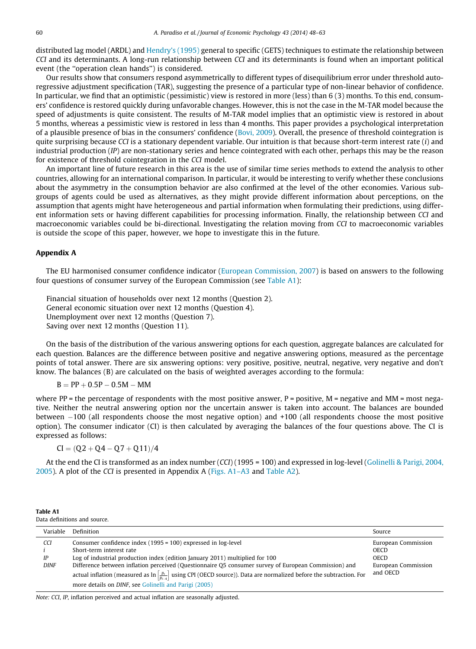<span id="page-12-0"></span>distributed lag model (ARDL) and [Hendry's \(1995\)](#page-15-0) general to specific (GETS) techniques to estimate the relationship between CCI and its determinants. A long-run relationship between CCI and its determinants is found when an important political event (the ''operation clean hands'') is considered.

Our results show that consumers respond asymmetrically to different types of disequilibrium error under threshold autoregressive adjustment specification (TAR), suggesting the presence of a particular type of non-linear behavior of confidence. In particular, we find that an optimistic (pessimistic) view is restored in more (less) than 6 (3) months. To this end, consumers' confidence is restored quickly during unfavorable changes. However, this is not the case in the M-TAR model because the speed of adjustments is quite consistent. The results of M-TAR model implies that an optimistic view is restored in about 5 months, whereas a pessimistic view is restored in less than 4 months. This paper provides a psychological interpretation of a plausible presence of bias in the consumers' confidence [\(Bovi, 2009\)](#page-14-0). Overall, the presence of threshold cointegration is quite surprising because CCI is a stationary dependent variable. Our intuition is that because short-term interest rate (i) and industrial production (IP) are non-stationary series and hence cointegrated with each other, perhaps this may be the reason for existence of threshold cointegration in the CCI model.

An important line of future research in this area is the use of similar time series methods to extend the analysis to other countries, allowing for an international comparison. In particular, it would be interesting to verify whether these conclusions about the asymmetry in the consumption behavior are also confirmed at the level of the other economies. Various subgroups of agents could be used as alternatives, as they might provide different information about perceptions, on the assumption that agents might have heterogeneous and partial information when formulating their predictions, using different information sets or having different capabilities for processing information. Finally, the relationship between CCI and macroeconomic variables could be bi-directional. Investigating the relation moving from CCI to macroeconomic variables is outside the scope of this paper, however, we hope to investigate this in the future.

#### Appendix A

The EU harmonised consumer confidence indicator [\(European Commission, 2007](#page-14-0)) is based on answers to the following four questions of consumer survey of the European Commission (see Table A1):

Financial situation of households over next 12 months (Question 2). General economic situation over next 12 months (Question 4). Unemployment over next 12 months (Question 7). Saving over next 12 months (Question 11).

On the basis of the distribution of the various answering options for each question, aggregate balances are calculated for each question. Balances are the difference between positive and negative answering options, measured as the percentage points of total answer. There are six answering options: very positive, positive, neutral, negative, very negative and don't know. The balances (B) are calculated on the basis of weighted averages according to the formula:

$$
B=PP+0.5P-0.5M-MM\\
$$

where PP = the percentage of respondents with the most positive answer,  $P$  = positive,  $M$  = negative and  $MM$  = most negative. Neither the neutral answering option nor the uncertain answer is taken into account. The balances are bounded between -100 (all respondents choose the most negative option) and +100 (all respondents choose the most positive option). The consumer indicator (CI) is then calculated by averaging the balances of the four questions above. The CI is expressed as follows:

$$
CI = (Q2 + Q4 - Q7 + Q11)/4
$$

At the end the CI is transformed as an index number (CCI) (1995 = 100) and expressed in log-level [\(Golinelli & Parigi, 2004,](#page-15-0) [2005](#page-15-0)). A plot of the CCI is presented in Appendix A [\(Figs. A1–A3](#page-13-0) and [Table A2](#page-14-0)).

| Table A1                     |  |
|------------------------------|--|
| Data definitions and source. |  |

| Variable                 | Definition                                                                                                                                                                                                                                                                                                                                                                                                                                                                                  | Source                                                                               |
|--------------------------|---------------------------------------------------------------------------------------------------------------------------------------------------------------------------------------------------------------------------------------------------------------------------------------------------------------------------------------------------------------------------------------------------------------------------------------------------------------------------------------------|--------------------------------------------------------------------------------------|
| CCI<br>IP<br><b>DINF</b> | Consumer confidence index (1995 = 100) expressed in log-level<br>Short-term interest rate<br>Log of industrial production index (edition January 2011) multiplied for 100<br>Difference between inflation perceived (Questionnaire O5 consumer survey of European Commission) and<br>actual inflation (measured as $\ln\left[\frac{p_t}{p_{t-a}}\right]$ using CPI (OECD source)). Data are normalized before the subtraction. For<br>more details on DINF, see Golinelli and Parigi (2005) | European Commission<br><b>OECD</b><br><b>OECD</b><br>European Commission<br>and OECD |

Note: CCI, IP, inflation perceived and actual inflation are seasonally adjusted.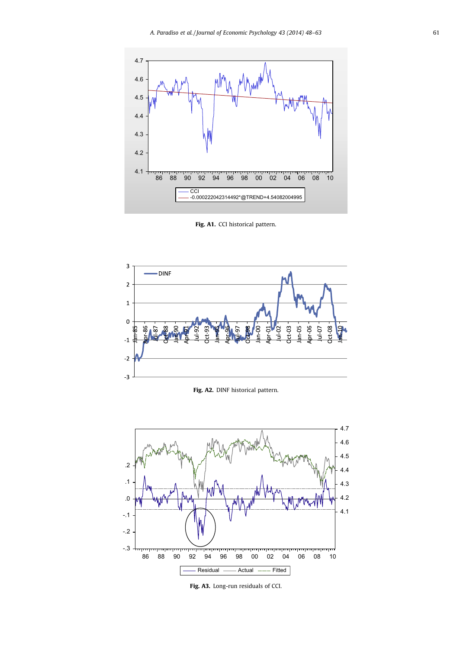<span id="page-13-0"></span>

Fig. A1. CCI historical pattern.



Fig. A2. DINF historical pattern.



Fig. A3. Long-run residuals of CCI.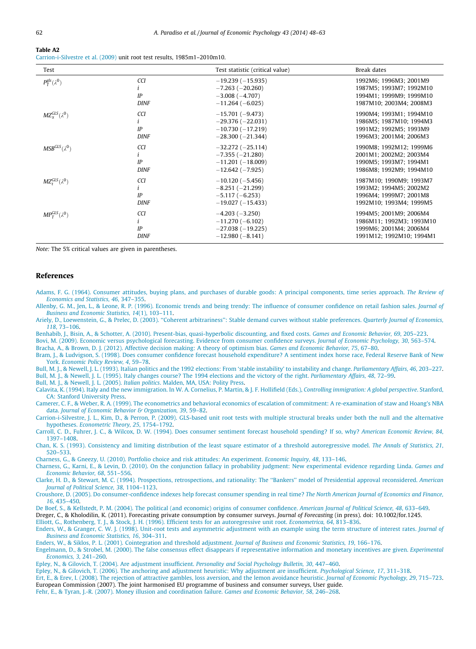<span id="page-14-0"></span>

Carrion-i-Silvestre et al. (2009) unit root test results, 1985m1–2010m10.

| Test                           |                          | Test statistic (critical value)                                                       | Break dates                                                                                             |
|--------------------------------|--------------------------|---------------------------------------------------------------------------------------|---------------------------------------------------------------------------------------------------------|
| $P_T^{gls}(\lambda^0)$         | CCI<br>IP<br><b>DINF</b> | $-19.239(-15.935)$<br>$-7.263$ ( $-20.260$ )<br>$-3.008(-4.707)$<br>$-11.264(-6.025)$ | 1992M6; 1996M3; 2001M9<br>1987M5; 1993M7; 1992M10<br>1994M1; 1999M9; 1999M10<br>1987M10; 2003M4; 2008M3 |
| $MZ_{\gamma}^{GLS}(\lambda^0)$ | CCI                      | $-15,701(-9,473)$                                                                     | 1990M4; 1993M1; 1994M10                                                                                 |
|                                | i                        | $-29.376(-22.031)$                                                                    | 1986M5; 1987M10; 1994M3                                                                                 |
|                                | IP                       | $-10.730(-17.219)$                                                                    | 1991M2; 1992M5; 1993M9                                                                                  |
|                                | <b>DINF</b>              | $-28,300(-21,344)$                                                                    | 1996M3; 2001M4; 2006M3                                                                                  |
| $MSBGLS(\lambda0)$             | CCI                      | $-32.272(-25.114)$                                                                    | 1990M8; 1992M12; 1999M6                                                                                 |
|                                | i                        | $-7.355(-21.280)$                                                                     | 2001M1: 2002M2: 2003M4                                                                                  |
|                                | IP                       | $-11.201(-18.009)$                                                                    | 1990M5; 1993M7; 1994M1                                                                                  |
|                                | <b>DINF</b>              | $-12.642$ ( $-7.925$ )                                                                | 1986M8; 1992M9; 1994M10                                                                                 |
| $MZ_t^{GLS}(\lambda^0)$        | CCI                      | $-10.120(-5.456)$                                                                     | 1987M10; 1990M9; 1993M7                                                                                 |
|                                | i                        | $-8.251(-21.299)$                                                                     | 1993M2; 1994M5; 2002M2                                                                                  |
|                                | IP                       | $-5.117(-6.253)$                                                                      | 1996M4; 1999M7; 2001M8                                                                                  |
|                                | <b>DINF</b>              | $-19.027(-15.433)$                                                                    | 1992M10; 1993M4; 1999M5                                                                                 |
| $MP_T^{GLS}(\lambda^0)$        | CCI                      | $-4.203(-3.250)$                                                                      | 1994M5; 2001M9; 2006M4                                                                                  |
|                                | i                        | $-11,270(-6,102)$                                                                     | 1986M11; 1992M3; 1993M10                                                                                |
|                                | IP                       | $-27.038(-19.225)$                                                                    | 1999M6; 2001M4; 2006M4                                                                                  |
|                                | <b>DINF</b>              | $-12.980(-8.141)$                                                                     | 1991M12; 1992M10; 1994M1                                                                                |

Note: The 5% critical values are given in parentheses.

#### References

[Adams, F. G. \(1964\). Consumer attitudes, buying plans, and purchases of durable goods: A principal components, time series approach.](http://refhub.elsevier.com/S0167-4870(14)00025-7/h0005) The Review of [Economics and Statistics, 46](http://refhub.elsevier.com/S0167-4870(14)00025-7/h0005), 347–355.

[Allenby, G. M., Jen, L., & Leone, R. P. \(1996\). Economic trends and being trendy: The influence of consumer confidence on retail fashion sales.](http://refhub.elsevier.com/S0167-4870(14)00025-7/h0010) Journal of [Business and Economic Statistics, 14](http://refhub.elsevier.com/S0167-4870(14)00025-7/h0010)(1), 103–111.

[Ariely, D., Loewenstein, G., & Prelec, D. \(2003\). ''Coherent arbitrariness'': Stable demand curves without stable preferences.](http://refhub.elsevier.com/S0167-4870(14)00025-7/h0015) Quarterly Journal of Economics, 118[, 73–106](http://refhub.elsevier.com/S0167-4870(14)00025-7/h0015).

[Benhabib, J., Bisin, A., & Schotter, A. \(2010\). Present-bias, quasi-hyperbolic discounting, and fixed costs.](http://refhub.elsevier.com/S0167-4870(14)00025-7/h0020) Games and Economic Behavior, 69, 205–223.

[Bovi, M. \(2009\). Economic versus psychological forecasting. Evidence from consumer confidence surveys.](http://refhub.elsevier.com/S0167-4870(14)00025-7/h0025) Journal of Economic Psychology, 30, 563–574.

[Bracha, A., & Brown, D. J. \(2012\). Affective decision making: A theory of optimism bias.](http://refhub.elsevier.com/S0167-4870(14)00025-7/h0030) Games and Economic Behavior, 75, 67–80.

[Bram, J., & Ludvigson, S. \(1998\). Does consumer confidence forecast household expenditure? A sentiment index horse race, Federal Reserve Bank of New](http://refhub.elsevier.com/S0167-4870(14)00025-7/h0035) York. [Economic Policy Review, 4](http://refhub.elsevier.com/S0167-4870(14)00025-7/h0035), 59–78.

[Bull, M. J., & Newell, J. L. \(1993\). Italian politics and the 1992 elections: From 'stable instability' to instability and change.](http://refhub.elsevier.com/S0167-4870(14)00025-7/h0040) Parliamentary Affairs, 46, 203-227. [Bull, M. J., & Newell, J. L. \(1995\). Italy changes course? The 1994 elections and the victory of the right.](http://refhub.elsevier.com/S0167-4870(14)00025-7/h0045) Parliamentary Affairs, 48, 72–99.

[Bull, M. J., & Newell, J. L. \(2005\).](http://refhub.elsevier.com/S0167-4870(14)00025-7/h0050) Italian politics. Malden, MA, USA: Polity Press.

[Calavita, K. \(1994\). Italy and the new immigration. In W. A. Cornelius, P. Martin, & J. F. Hollifield \(Eds.\),](http://refhub.elsevier.com/S0167-4870(14)00025-7/h0055) Controlling immigration: A global perspective. Stanford, [CA: Stanford University Press.](http://refhub.elsevier.com/S0167-4870(14)00025-7/h0055)

[Camerer, C. F., & Weber, R. A. \(1999\). The econometrics and behavioral economics of escalation of commitment: A re-examination of staw and Hoang's NBA](http://refhub.elsevier.com/S0167-4870(14)00025-7/h0060) data. [Journal of Economic Behavior & Organization, 39](http://refhub.elsevier.com/S0167-4870(14)00025-7/h0060), 59–82.

[Carrion-i-Silvestre, J. L., Kim, D., & Perron, P. \(2009\). GLS-based unit root tests with multiple structural breaks under both the null and the alternative](http://refhub.elsevier.com/S0167-4870(14)00025-7/h0065) hypotheses. [Econometric Theory, 25](http://refhub.elsevier.com/S0167-4870(14)00025-7/h0065), 1754–1792.

[Carroll, C. D., Fuhrer, J. C., & Wilcox, D. W. \(1994\). Does consumer sentiment forecast household spending? If so, why?](http://refhub.elsevier.com/S0167-4870(14)00025-7/h0070) American Economic Review, 84, [1397–1408](http://refhub.elsevier.com/S0167-4870(14)00025-7/h0070).

[Chan, K. S. \(1993\). Consistency and limiting distribution of the least square estimator of a threshold autoregressive model.](http://refhub.elsevier.com/S0167-4870(14)00025-7/h0075) The Annals of Statistics, 21, [520–533.](http://refhub.elsevier.com/S0167-4870(14)00025-7/h0075)

[Charness, G., & Gneezy, U. \(2010\). Portfolio choice and risk attitudes: An experiment.](http://refhub.elsevier.com/S0167-4870(14)00025-7/h0080) Economic Inquiry, 48, 133–146.

[Charness, G., Karni, E., & Levin, D. \(2010\). On the conjunction fallacy in probability judgment: New experimental evidence regarding Linda.](http://refhub.elsevier.com/S0167-4870(14)00025-7/h0085) Games and [Economic Behavior, 68](http://refhub.elsevier.com/S0167-4870(14)00025-7/h0085), 551–556.

[Clarke, H. D., & Stewart, M. C. \(1994\). Prospections, retrospections, and rationality: The ''Bankers'' model of Presidential approval reconsidered.](http://refhub.elsevier.com/S0167-4870(14)00025-7/h0090) American [Journal of Political Science, 38](http://refhub.elsevier.com/S0167-4870(14)00025-7/h0090), 1104–1123.

[Croushore, D. \(2005\). Do consumer-confidence indexes help forecast consumer spending in real time?](http://refhub.elsevier.com/S0167-4870(14)00025-7/h0095) The North American Journal of Economics and Finance, 16[, 435–450.](http://refhub.elsevier.com/S0167-4870(14)00025-7/h0095)

[De Boef, S., & Kellstedt, P. M. \(2004\). The political \(and economic\) origins of consumer confidence.](http://refhub.elsevier.com/S0167-4870(14)00025-7/h0100) American Journal of Political Science, 48, 633–649.

Dreger, C., & Kholodilin, K. (2011). Forecasting private consumption by consumer surveys. Journal of Forecasting (in press). doi: 10.1002/for.1245. [Elliott, G., Rothenberg, T. J., & Stock, J. H. \(1996\). Efficient tests for an autoregressive unit root.](http://refhub.elsevier.com/S0167-4870(14)00025-7/h0110) Econometrica, 64, 813–836.

[Enders, W., & Granger, C. W. J. \(1998\). Unit-root tests and asymmetric adjustment with an example using the term structure of interest rates.](http://refhub.elsevier.com/S0167-4870(14)00025-7/h0115) Journal of [Business and Economic Statistics, 16](http://refhub.elsevier.com/S0167-4870(14)00025-7/h0115), 304–311.

[Enders, W., & Siklos, P. L. \(2001\). Cointegration and threshold adjustment.](http://refhub.elsevier.com/S0167-4870(14)00025-7/h0120) Journal of Business and Economic Statistics, 19, 166–176.

[Engelmann, D., & Strobel, M. \(2000\). The false consensus effect disappears if representative information and monetary incentives are given.](http://refhub.elsevier.com/S0167-4870(14)00025-7/h0130) Experimental [Economics, 3](http://refhub.elsevier.com/S0167-4870(14)00025-7/h0130), 241–260.

[Epley, N., & Gilovich, T. \(2004\). Are adjustment insufficient.](http://refhub.elsevier.com/S0167-4870(14)00025-7/h0135) Personality and Social Psychology Bulletin, 30, 447–460.

[Epley, N., & Gilovich, T. \(2006\). The anchoring and adjustment heuristic: Why adjustment are insufficient.](http://refhub.elsevier.com/S0167-4870(14)00025-7/h0140) Psychological Science, 17, 311–318.

[Ert, E., & Erev, I. \(2008\). The rejection of attractive gambles, loss aversion, and the lemon avoidance heuristic.](http://refhub.elsevier.com/S0167-4870(14)00025-7/h0145) Journal of Economic Psychology, 29, 715–723. European Commission (2007). The joint harmonised EU programme of business and consumer surveys, User guide.

[Fehr, E., & Tyran, J.-R. \(2007\). Money illusion and coordination failure.](http://refhub.elsevier.com/S0167-4870(14)00025-7/h0155) Games and Economic Behavior, 58, 246–268.